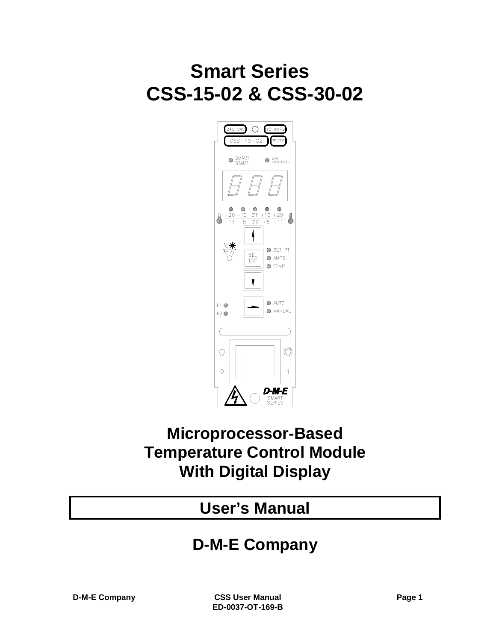# **Smart Series CSS-15-02 & CSS-30-02**



## **Microprocessor-Based Temperature Control Module With Digital Display**

## **User's Manual**

## **D-M-E Company**

**D-M-E Company CSS User Manual Page 1 ED-0037-OT-169-B**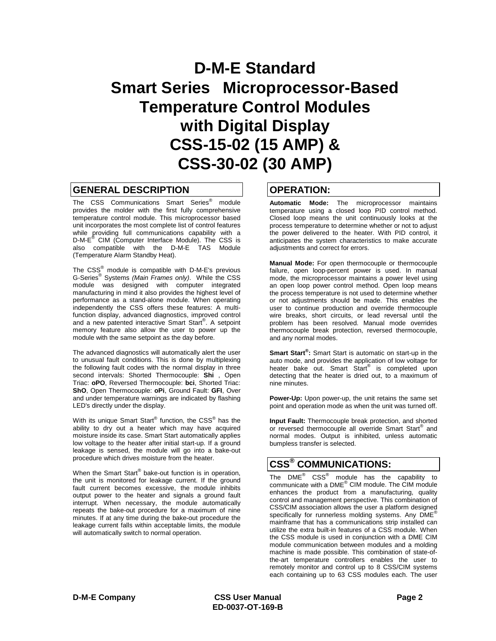## **D-M-E Standard Smart Series Microprocessor-Based Temperature Control Modules with Digital Display CSS-15-02 (15 AMP) & CSS-30-02 (30 AMP)**

### **GENERAL DESCRIPTION**

The CSS Communications Smart Series<sup>®</sup> module provides the molder with the first fully comprehensive temperature control module. This microprocessor based unit incorporates the most complete list of control features while providing full communications capability with a D-M-E® CIM (Computer Interface Module). The CSS is also compatible with the D-M-E TAS Module (Temperature Alarm Standby Heat).

The  $CSS^{\circledast}$  module is compatible with D-M-E's previous G-Series® Systems *(Main Frames only)*. While the CSS module was designed with computer integrated manufacturing in mind it also provides the highest level of performance as a stand-alone module. When operating independently the CSS offers these features: A multifunction display, advanced diagnostics, improved control and a new patented interactive Smart Start®. A setpoint memory feature also allow the user to power up the module with the same setpoint as the day before.

The advanced diagnostics will automatically alert the user to unusual fault conditions. This is done by multiplexing the following fault codes with the normal display in three second intervals: Shorted Thermocouple: **Shi** , Open Triac: **oPO**, Reversed Thermocouple: **bci**, Shorted Triac: **ShO**, Open Thermocouple: **oPi**, Ground Fault: **GFI**, Over and under temperature warnings are indicated by flashing LED's directly under the display.

With its unique Smart Start<sup>®</sup> function, the CSS<sup>®</sup> has the ability to dry out a heater which may have acquired moisture inside its case. Smart Start automatically applies low voltage to the heater after initial start-up. If a ground leakage is sensed, the module will go into a bake-out procedure which drives moisture from the heater.

When the Smart Start® bake-out function is in operation, the unit is monitored for leakage current. If the ground fault current becomes excessive, the module inhibits output power to the heater and signals a ground fault interrupt. When necessary, the module automatically repeats the bake-out procedure for a maximum of nine minutes. If at any time during the bake-out procedure the leakage current falls within acceptable limits, the module will automatically switch to normal operation.

## **OPERATION:**

**Automatic Mode:** The microprocessor maintains temperature using a closed loop PID control method. Closed loop means the unit continuously looks at the process temperature to determine whether or not to adjust the power delivered to the heater. With PID control, it anticipates the system characteristics to make accurate adjustments and correct for errors.

**Manual Mode:** For open thermocouple or thermocouple failure, open loop-percent power is used. In manual mode, the microprocessor maintains a power level using an open loop power control method. Open loop means the process temperature is not used to determine whether or not adjustments should be made. This enables the user to continue production and override thermocouple wire breaks, short circuits, or lead reversal until the problem has been resolved. Manual mode overrides thermocouple break protection, reversed thermocouple, and any normal modes.

**Smart Start®:** Smart Start is automatic on start-up in the auto mode, and provides the application of low voltage for heater bake out. Smart Start<sup>®</sup> is completed upon detecting that the heater is dried out, to a maximum of nine minutes.

**Power-Up:** Upon power-up, the unit retains the same set point and operation mode as when the unit was turned off.

**Input Fault:** Thermocouple break protection, and shorted or reversed thermocouple all override Smart Start<sup>®</sup> and normal modes. Output is inhibited, unless automatic bumpless transfer is selected.

## **CSS® COMMUNICATIONS:**

The  $DME^{\circledR}$  CSS<sup>®</sup> module has the capability to communicate with a DME® CIM module. The CIM module enhances the product from a manufacturing, quality control and management perspective. This combination of CSS/CIM association allows the user a platform designed specifically for runnerless molding systems. Any DME<sup>®</sup> mainframe that has a communications strip installed can utilize the extra built-in features of a CSS module. When the CSS module is used in conjunction with a DME CIM module communication between modules and a molding machine is made possible. This combination of state-ofthe-art temperature controllers enables the user to remotely monitor and control up to 8 CSS/CIM systems each containing up to 63 CSS modules each. The user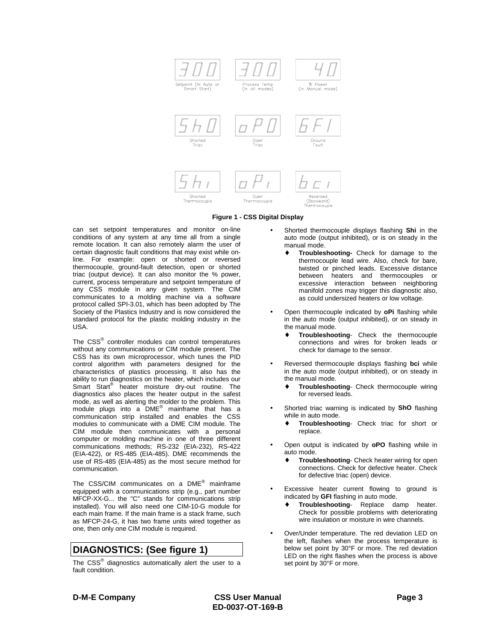



can set setpoint temperatures and monitor on-line conditions of any system at any time all from a single remote location. It can also remotely alarm the user of certain diagnostic fault conditions that may exist while online. For example: open or shorted or reversed thermocouple, ground-fault detection, open or shorted triac (output device). It can also monitor the % power, current, process temperature and setpoint temperature of any CSS module in any given system. The CIM communicates to a molding machine via a software protocol called SPI-3.01, which has been adopted by The Society of the Plastics Industry and is now considered the standard protocol for the plastic molding industry in the USA.

The CSS® controller modules can control temperatures without any communications or CIM module present. The CSS has its own microprocessor, which tunes the PID control algorithm with parameters designed for the characteristics of plastics processing. It also has the ability to run diagnostics on the heater, which includes our Smart Start<sup>®</sup> heater moisture dry-out routine. The diagnostics also places the heater output in the safest mode, as well as alerting the molder to the problem. This module plugs into a DME® mainframe that has a communication strip installed and enables the CSS modules to communicate with a DME CIM module. The CIM module then communicates with a personal computer or molding machine in one of three different communications methods; RS-232 (EIA-232), RS-422 (EIA-422), or RS-485 (EIA-485). DME recommends the use of RS-485 (EIA-485) as the most secure method for communication.

The CSS/CIM communicates on a DME® mainframe equipped with a communications strip (e.g., part number MFCP-XX-G... the "C" stands for communications strip installed). You will also need one CIM-10-G module for each main frame. If the main frame is a stack frame, such as MFCP-24-G, it has two frame units wired together as one, then only one CIM module is required.

## **DIAGNOSTICS: (See figure 1)**

The CSS® diagnostics automatically alert the user to a fault condition.

- Shorted thermocouple displays flashing **Shi** in the auto mode (output inhibited), or is on steady in the manual mode.
	- Troubleshooting- Check for damage to the thermocouple lead wire. Also, check for bare, twisted or pinched leads. Excessive distance between heaters and thermocouples or excessive interaction between neighboring manifold zones may trigger this diagnostic also, as could undersized heaters or low voltage.
- Open thermocouple indicated by **oPi** flashing while in the auto mode (output inhibited), or on steady in the manual mode.
	- **Troubleshooting** Check the thermocouple connections and wires for broken leads or check for damage to the sensor.
- Reversed thermocouple displays flashing **bci** while in the auto mode (output inhibited), or on steady in the manual mode.
	- **Troubleshooting-** Check thermocouple wiring for reversed leads.
- Shorted triac warning is indicated by **ShO** flashing while in auto mode.
	- ♦ **Troubleshooting** Check triac for short or replace.
- Open output is indicated by **oPO** flashing while in auto mode.
	- **Troubleshooting-** Check heater wiring for open connections. Check for defective heater. Check for defective triac (open) device.
- Excessive heater current flowing to ground is indicated by **GFI** flashing in auto mode.
	- **Troubleshooting-** Replace damp heater. Check for possible problems with deteriorating wire insulation or moisture in wire channels.
- Over/Under temperature. The red deviation LED on the left, flashes when the process temperature is below set point by 30°F or more. The red deviation LED on the right flashes when the process is above set point by 30°F or more.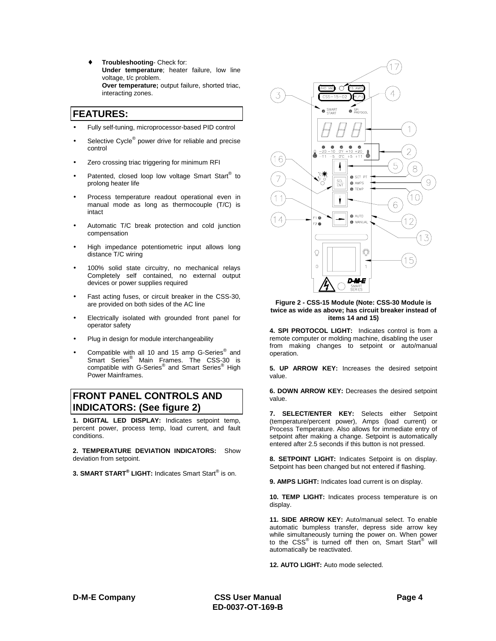♦ **Troubleshooting**- Check for: **Under temperature**; heater failure, low line voltage, t/c problem. **Over temperature;** output failure, shorted triac, interacting zones.

## **FEATURES:**

- Fully self-tuning, microprocessor-based PID control
- Selective Cycle<sup>®</sup> power drive for reliable and precise control
- Zero crossing triac triggering for minimum RFI
- Patented, closed loop low voltage Smart Start<sup>®</sup> to prolong heater life
- Process temperature readout operational even in manual mode as long as thermocouple (T/C) is intact
- Automatic T/C break protection and cold junction compensation
- High impedance potentiometric input allows long distance T/C wiring
- 100% solid state circuitry, no mechanical relays Completely self contained, no external output devices or power supplies required
- Fast acting fuses, or circuit breaker in the CSS-30, are provided on both sides of the AC line
- Electrically isolated with grounded front panel for operator safety
- Plug in design for module interchangeability
- Compatible with all 10 and 15 amp G-Series® and Smart Series<sup>®</sup> Main Frames. The CSS-30 is compatible with G-Series<sup>®</sup> and Smart Series<sup>®</sup> High Power Mainframes.

## **FRONT PANEL CONTROLS AND INDICATORS: (See figure 2)**

**1. DIGITAL LED DISPLAY:** Indicates setpoint temp, percent power, process temp, load current, and fault conditions.

**2. TEMPERATURE DEVIATION INDICATORS:** Show deviation from setpoint.

**3. SMART START® LIGHT:** Indicates Smart Start® is on.



**Figure 2 - CSS-15 Module (Note: CSS-30 Module is twice as wide as above; has circuit breaker instead of items 14 and 15)**

**4. SPI PROTOCOL LIGHT:** Indicates control is from a remote computer or molding machine, disabling the user from making changes to setpoint or auto/manual operation.

**5. UP ARROW KEY:** Increases the desired setpoint value.

**6. DOWN ARROW KEY:** Decreases the desired setpoint value.

**7. SELECT/ENTER KEY:** Selects either Setpoint (temperature/percent power), Amps (load current) or Process Temperature. Also allows for immediate entry of setpoint after making a change. Setpoint is automatically entered after 2.5 seconds if this button is not pressed.

**8. SETPOINT LIGHT:** Indicates Setpoint is on display. Setpoint has been changed but not entered if flashing.

**9. AMPS LIGHT:** Indicates load current is on display.

**10. TEMP LIGHT:** Indicates process temperature is on display.

**11. SIDE ARROW KEY:** Auto/manual select. To enable automatic bumpless transfer, depress side arrow key while simultaneously turning the power on. When power to the CSS® is turned off then on, Smart Start® will automatically be reactivated.

**12. AUTO LIGHT:** Auto mode selected.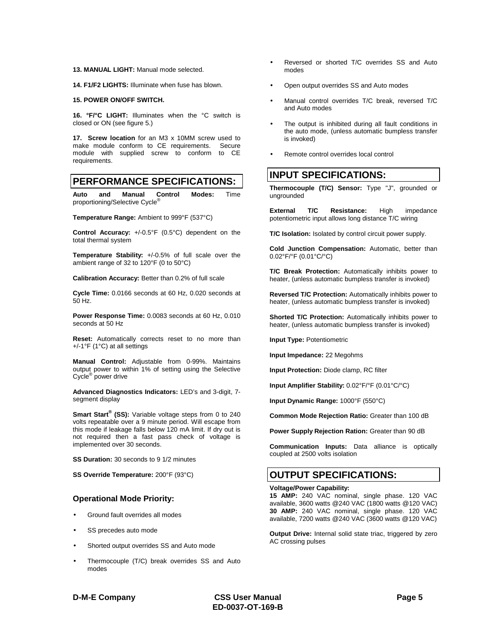#### **13. MANUAL LIGHT:** Manual mode selected.

**14. F1/F2 LIGHTS:** Illuminate when fuse has blown.

#### **15. POWER ON/OFF SWITCH.**

**16. °F/°C LIGHT:** Illuminates when the °C switch is closed or ON (see figure 5.)

**17. Screw location** for an M3 x 10MM screw used to make module conform to CE requirements. Secure module with supplied screw to conform to CE requirements.

## **PERFORMANCE SPECIFICATIONS:**

**Auto and Manual Control Modes:** Time proportioning/Selective Cycle<sup>®</sup>

**Temperature Range:** Ambient to 999°F (537°C)

**Control Accuracy:** +/-0.5°F (0.5°C) dependent on the total thermal system

**Temperature Stability:** +/-0.5% of full scale over the ambient range of 32 to 120°F (0 to 50°C)

**Calibration Accuracy:** Better than 0.2% of full scale

**Cycle Time:** 0.0166 seconds at 60 Hz, 0.020 seconds at 50 Hz.

**Power Response Time:** 0.0083 seconds at 60 Hz, 0.010 seconds at 50 Hz

**Reset:** Automatically corrects reset to no more than +/-1°F (1°C) at all settings

**Manual Control:** Adjustable from 0-99%. Maintains output power to within 1% of setting using the Selective Cycle® power drive

**Advanced Diagnostics Indicators:** LED's and 3-digit, 7 segment display

**Smart Start<sup>®</sup> (SS):** Variable voltage steps from 0 to 240 volts repeatable over a 9 minute period. Will escape from this mode if leakage falls below 120 mA limit. If dry out is not required then a fast pass check of voltage is implemented over 30 seconds.

**SS Duration:** 30 seconds to 9 1/2 minutes

**SS Override Temperature:** 200°F (93°C)

#### **Operational Mode Priority:**

- Ground fault overrides all modes
- SS precedes auto mode
- Shorted output overrides SS and Auto mode
- Thermocouple (T/C) break overrides SS and Auto modes
- Reversed or shorted T/C overrides SS and Auto modes
- Open output overrides SS and Auto modes
- Manual control overrides T/C break, reversed T/C and Auto modes
- The output is inhibited during all fault conditions in the auto mode, (unless automatic bumpless transfer is invoked)
- Remote control overrides local control

### **INPUT SPECIFICATIONS:**

**Thermocouple (T/C) Sensor:** Type "J", grounded or ungrounded

**External T/C Resistance:** High impedance potentiometric input allows long distance T/C wiring

**T/C Isolation:** Isolated by control circuit power supply.

**Cold Junction Compensation:** Automatic, better than 0.02°F/°F (0.01°C/°C)

**T/C Break Protection:** Automatically inhibits power to heater, (unless automatic bumpless transfer is invoked)

**Reversed T/C Protection:** Automatically inhibits power to heater, (unless automatic bumpless transfer is invoked)

**Shorted T/C Protection:** Automatically inhibits power to heater, (unless automatic bumpless transfer is invoked)

**Input Type:** Potentiometric

**Input Impedance:** 22 Megohms

**Input Protection:** Diode clamp, RC filter

**Input Amplifier Stability:** 0.02°F/°F (0.01°C/°C)

**Input Dynamic Range:** 1000°F (550°C)

**Common Mode Rejection Ratio:** Greater than 100 dB

**Power Supply Rejection Ration:** Greater than 90 dB

**Communication Inputs:** Data alliance is optically coupled at 2500 volts isolation

### **OUTPUT SPECIFICATIONS:**

#### **Voltage/Power Capability:**

**15 AMP:** 240 VAC nominal, single phase. 120 VAC available, 3600 watts @240 VAC (1800 watts @120 VAC) **30 AMP:** 240 VAC nominal, single phase. 120 VAC available, 7200 watts @240 VAC (3600 watts @120 VAC)

**Output Drive:** Internal solid state triac, triggered by zero AC crossing pulses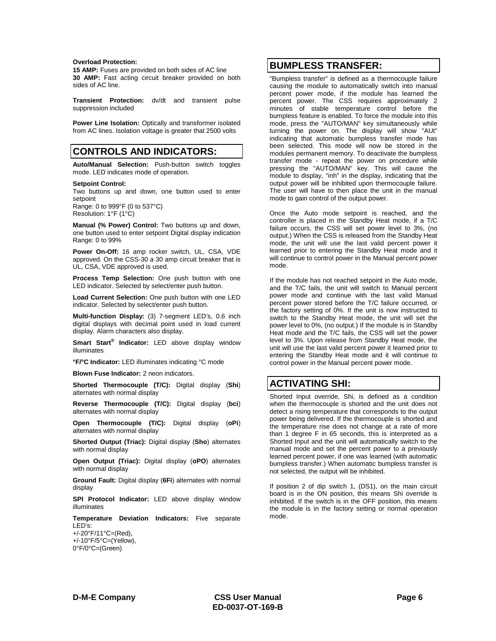#### **Overload Protection:**

**15 AMP:** Fuses are provided on both sides of AC line **30 AMP:** Fast acting circuit breaker provided on both sides of AC line.

**Transient Protection:** dv/dt and transient pulse suppression included

**Power Line Isolation:** Optically and transformer isolated from AC lines. Isolation voltage is greater that 2500 volts

## **CONTROLS AND INDICATORS:**

**Auto/Manual Selection:** Push-button switch toggles mode. LED indicates mode of operation.

#### **Setpoint Control:**

Two buttons up and down, one button used to enter setpoint Range: 0 to 999°F (0 to 537°C)

Resolution: 1°F (1°C)

**Manual (% Power) Control:** Two buttons up and down, one button used to enter setpoint Digital display indication Range: 0 to 99%

**Power On-Off:** 16 amp rocker switch, UL, CSA, VDE approved. On the CSS-30 a 30 amp circuit breaker that is UL, CSA, VDE approved is used.

**Process Temp Selection:** One push button with one LED indicator. Selected by select/enter push button.

**Load Current Selection:** One push button with one LED indicator. Selected by select/enter push button.

**Multi-function Display:** (3) 7-segment LED's, 0.6 inch digital displays with decimal point used in load current display. Alarm characters also display.

**Smart Start® Indicator:** LED above display window illuminates

**°F/°C Indicator:** LED illuminates indicating °C mode

**Blown Fuse Indicator:** 2 neon indicators.

**Shorted Thermocouple (T/C):** Digital display (**Shi**) alternates with normal display

**Reverse Thermocouple (T/C):** Digital display (**bci**) alternates with normal display

**Open Thermocouple (T/C):** Digital display (**oPi**) alternates with normal display

**Shorted Output (Triac):** Digital display (**Sho**) alternates with normal display

**Open Output (Triac):** Digital display (**oPO**) alternates with normal display

**Ground Fault:** Digital display (**6Fi**) alternates with normal display

**SPI Protocol Indicator:** LED above display window illuminates

**Temperature Deviation Indicators:** Five separate LED's:

+/-20°F/11°C=(Red), +/-10°F/5°C=(Yellow), 0°F/0°C=(Green)

### **BUMPLESS TRANSFER:**

"Bumpless transfer" is defined as a thermocouple failure causing the module to automatically switch into manual percent power mode, if the module has learned the percent power. The CSS requires approximately 2 minutes of stable temperature control before the bumpless feature is enabled. To force the module into this mode, press the "AUTO/MAN" key simultaneously while turning the power on. The display will show "AUt" indicating that automatic bumpless transfer mode has been selected. This mode will now be stored in the modules permanent memory. To deactivate the bumpless transfer mode - repeat the power on procedure while pressing the "AUTO/MAN" key. This will cause the module to display, "inh" in the display, indicating that the output power will be inhibited upon thermocouple failure. The user will have to then place the unit in the manual mode to gain control of the output power.

Once the Auto mode setpoint is reached, and the controller is placed in the Standby Heat mode, if a T/C failure occurs, the CSS will set power level to 3%, (no output.) When the CSS is released from the Standby Heat mode, the unit will use the last valid percent power it learned prior to entering the Standby Heat mode and it will continue to control power in the Manual percent power mode.

If the module has not reached setpoint in the Auto mode, and the T/C fails, the unit will switch to Manual percent power mode and continue with the last valid Manual percent power stored before the T/C failure occurred, or the factory setting of 0%. If the unit is now instructed to switch to the Standby Heat mode, the unit will set the power level to 0%, (no output.) If the module is in Standby Heat mode and the T/C fails, the CSS will set the power level to 3%. Upon release from Standby Heat mode, the unit will use the last valid percent power it learned prior to entering the Standby Heat mode and it will continue to control power in the Manual percent power mode.

## **ACTIVATING SHI:**

Shorted Input override, Shi, is defined as a condition when the thermocouple is shorted and the unit does not detect a rising temperature that corresponds to the output power being delivered. If the thermocouple is shorted and the temperature rise does not change at a rate of more than 1 degree F in 65 seconds, this is interpreted as a Shorted Input and the unit will automatically switch to the manual mode and set the percent power to a previously learned percent power, if one was learned (with automatic bumpless transfer.) When automatic bumpless transfer is not selected, the output will be inhibited.

If position 2 of dip switch 1, (DS1), on the main circuit board is in the ON position, this means Shi override is inhibited. If the switch is in the OFF position, this means the module is in the factory setting or normal operation mode.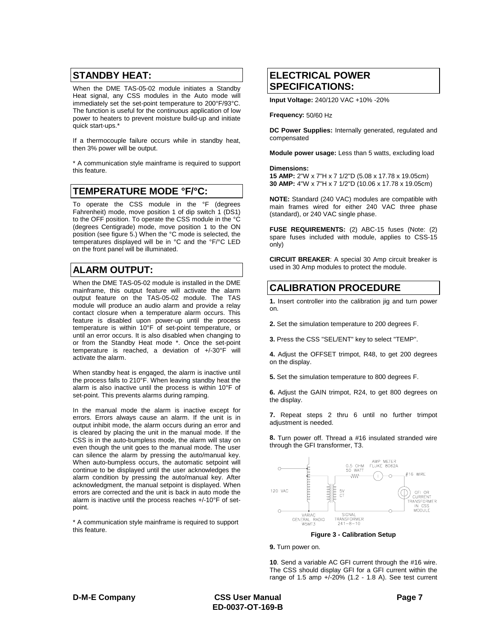## **STANDBY HEAT:**

When the DME TAS-05-02 module initiates a Standby Heat signal, any CSS modules in the Auto mode will immediately set the set-point temperature to 200°F/93°C. The function is useful for the continuous application of low power to heaters to prevent moisture build-up and initiate quick start-ups.\*

If a thermocouple failure occurs while in standby heat, then 3% power will be output.

\* A communication style mainframe is required to support this feature.

## **TEMPERATURE MODE °F/°C:**

To operate the CSS module in the °F (degrees Fahrenheit) mode, move position 1 of dip switch 1 (DS1) to the OFF position. To operate the CSS module in the °C (degrees Centigrade) mode, move position 1 to the ON position (see figure 5.) When the °C mode is selected, the temperatures displayed will be in °C and the °F/°C LED on the front panel will be illuminated.

## **ALARM OUTPUT:**

When the DME TAS-05-02 module is installed in the DME mainframe, this output feature will activate the alarm output feature on the TAS-05-02 module. The TAS module will produce an audio alarm and provide a relay contact closure when a temperature alarm occurs. This feature is disabled upon power-up until the process temperature is within 10°F of set-point temperature, or until an error occurs. It is also disabled when changing to or from the Standby Heat mode \*. Once the set-point temperature is reached, a deviation of +/-30°F will activate the alarm.

When standby heat is engaged, the alarm is inactive until the process falls to 210°F. When leaving standby heat the alarm is also inactive until the process is within 10°F of set-point. This prevents alarms during ramping.

In the manual mode the alarm is inactive except for errors. Errors always cause an alarm. If the unit is in output inhibit mode, the alarm occurs during an error and is cleared by placing the unit in the manual mode. If the CSS is in the auto-bumpless mode, the alarm will stay on even though the unit goes to the manual mode. The user can silence the alarm by pressing the auto/manual key. When auto-bumpless occurs, the automatic setpoint will continue to be displayed until the user acknowledges the alarm condition by pressing the auto/manual key. After acknowledgment, the manual setpoint is displayed. When errors are corrected and the unit is back in auto mode the alarm is inactive until the process reaches +/-10°F of setpoint.

\* A communication style mainframe is required to support this feature.

## **ELECTRICAL POWER SPECIFICATIONS:**

**Input Voltage:** 240/120 VAC +10% -20%

**Frequency:** 50/60 Hz

**DC Power Supplies:** Internally generated, regulated and compensated

**Module power usage:** Less than 5 watts, excluding load

**Dimensions:**

**15 AMP:** 2"W x 7"H x 7 1/2"D (5.08 x 17.78 x 19.05cm) **30 AMP:** 4"W x 7"H x 7 1/2"D (10.06 x 17.78 x 19.05cm)

**NOTE:** Standard (240 VAC) modules are compatible with main frames wired for either 240 VAC three phase (standard), or 240 VAC single phase.

**FUSE REQUIREMENTS:** (2) ABC-15 fuses (Note: (2) spare fuses included with module, applies to CSS-15 only)

**CIRCUIT BREAKER**: A special 30 Amp circuit breaker is used in 30 Amp modules to protect the module.

## **CALIBRATION PROCEDURE**

**1.** Insert controller into the calibration jig and turn power on.

- **2.** Set the simulation temperature to 200 degrees F.
- **3.** Press the CSS "SEL/ENT" key to select "TEMP".

**4.** Adjust the OFFSET trimpot, R48, to get 200 degrees on the display.

**5.** Set the simulation temperature to 800 degrees F.

**6.** Adjust the GAIN trimpot, R24, to get 800 degrees on the display.

**7.** Repeat steps 2 thru 6 until no further trimpot adjustment is needed.

**8.** Turn power off. Thread a #16 insulated stranded wire through the GFI transformer, T3.



**Figure 3 - Calibration Setup**

**9.** Turn power on.

**10**. Send a variable AC GFI current through the #16 wire. The CSS should display GFI for a GFI current within the range of 1.5 amp +/-20% (1.2 - 1.8 A). See test current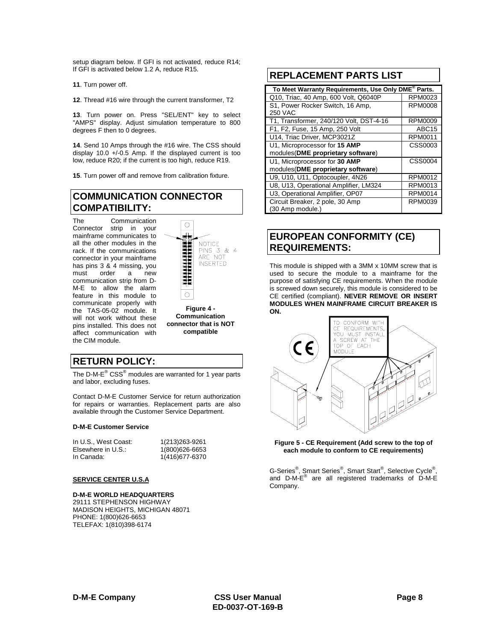setup diagram below. If GFI is not activated, reduce R14; If GFI is activated below 1.2 A, reduce R15.

**11**. Turn power off.

**12**. Thread #16 wire through the current transformer, T2

**13**. Turn power on. Press "SEL/ENT" key to select "AMPS" display. Adjust simulation temperature to 800 degrees F then to 0 degrees.

**14**. Send 10 Amps through the #16 wire. The CSS should display 10.0 +/-0.5 Amp. If the displayed current is too low, reduce R20; if the current is too high, reduce R19.

**15**. Turn power off and remove from calibration fixture.

## **COMMUNICATION CONNECTOR COMPATIBILITY:**

The Communication Connector strip in your mainframe communicates to all the other modules in the rack. If the communications connector in your mainframe has pins 3 & 4 missing, you must order a new communication strip from D-M-E to allow the alarm feature in this module to communicate properly with the TAS-05-02 module. It will not work without these pins installed. This does not affect communication with the CIM module.



**Figure 4 - Communication connector that is NOT compatible**

## **RETURN POLICY:**

The D-M- $E^{\circledR}$  CSS $^{\circledR}$  modules are warranted for 1 year parts and labor, excluding fuses.

Contact D-M-E Customer Service for return authorization for repairs or warranties. Replacement parts are also available through the Customer Service Department.

#### **D-M-E Customer Service**

| In U.S., West Coast: | 1(213) 263-9261 |
|----------------------|-----------------|
| Elsewhere in U.S.:   | 1(800)626-6653  |
| In Canada:           | 1(416) 677-6370 |

#### **SERVICE CENTER U.S.A**

**D-M-E WORLD HEADQUARTERS** 29111 STEPHENSON HIGHWAY MADISON HEIGHTS, MICHIGAN 48071 PHONE: 1(800)626-6653 TELEFAX: 1(810)398-6174

## **REPLACEMENT PARTS LIST**

| To Meet Warranty Requirements, Use Only DME <sup>®</sup> Parts. |                   |  |  |
|-----------------------------------------------------------------|-------------------|--|--|
| Q10, Triac, 40 Amp, 600 Volt, Q6040P                            | RPM0023           |  |  |
| S1, Power Rocker Switch, 16 Amp,                                | <b>RPM0008</b>    |  |  |
| <b>250 VAC</b>                                                  |                   |  |  |
| T1, Transformer, 240/120 Volt, DST-4-16                         | <b>RPM0009</b>    |  |  |
| F1, F2, Fuse, 15 Amp, 250 Volt                                  | ABC <sub>15</sub> |  |  |
| U14, Triac Driver, MCP3021Z                                     | RPM0011           |  |  |
| U1, Microprocessor for 15 AMP                                   | CSS0003           |  |  |
| modules(DME proprietary software)                               |                   |  |  |
| U1, Microprocessor for 30 AMP                                   | CSS0004           |  |  |
| modules(DME proprietary software)                               |                   |  |  |
| U9, U10, U11, Optocoupler, 4N26                                 | <b>RPM0012</b>    |  |  |
| U8, U13, Operational Amplifier, LM324                           | RPM0013           |  |  |
| U3, Operational Amplifier, OP07                                 | <b>RPM0014</b>    |  |  |
| Circuit Breaker, 2 pole, 30 Amp                                 | RPM0039           |  |  |
| (30 Amp module.)                                                |                   |  |  |

## **EUROPEAN CONFORMITY (CE) REQUIREMENTS:**

This module is shipped with a 3MM x 10MM screw that is used to secure the module to a mainframe for the purpose of satisfying CE requirements. When the module is screwed down securely, this module is considered to be CE certified (compliant). **NEVER REMOVE OR INSERT MODULES WHEN MAINFRAME CIRCUIT BREAKER IS ON.**



**Figure 5 - CE Requirement (Add screw to the top of each module to conform to CE requirements)**

G-Series®, Smart Series®, Smart Start®, Selective Cycle®, and D-M-E® are all registered trademarks of D-M-E Company.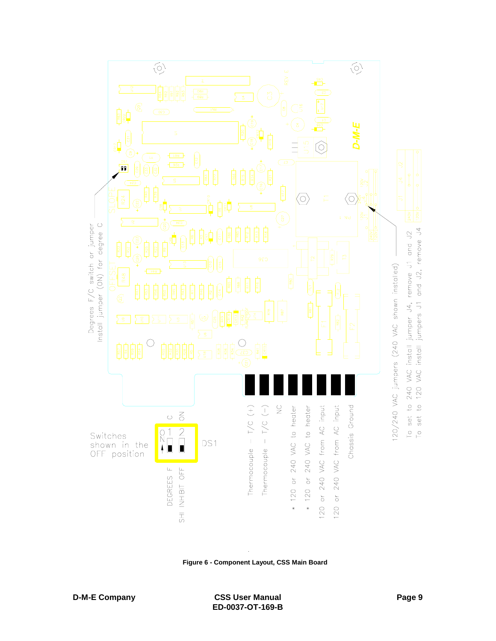

**Figure 6 - Component Layout, CSS Main Board**